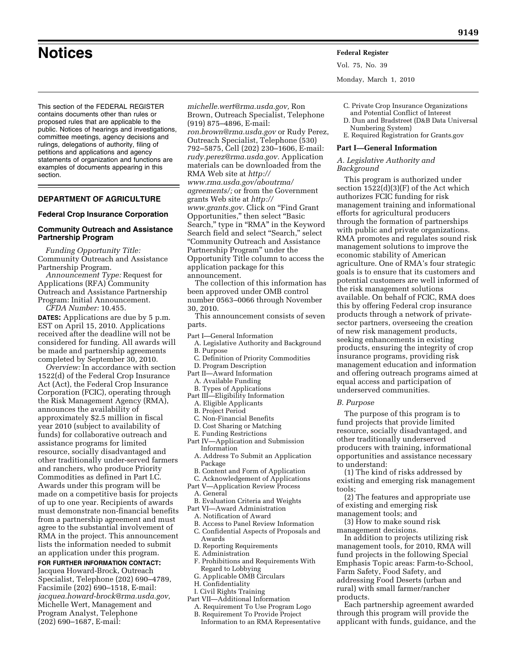**Notices Federal Register**

Vol. 75, No. 39

Monday, March 1, 2010

This section of the FEDERAL REGISTER contains documents other than rules or proposed rules that are applicable to the public. Notices of hearings and investigations, committee meetings, agency decisions and rulings, delegations of authority, filing of petitions and applications and agency statements of organization and functions are examples of documents appearing in this section.

# **DEPARTMENT OF AGRICULTURE**

#### **Federal Crop Insurance Corporation**

# **Community Outreach and Assistance Partnership Program**

*Funding Opportunity Title:*  Community Outreach and Assistance Partnership Program.

*Announcement Type:* Request for Applications (RFA) Community Outreach and Assistance Partnership Program: Initial Announcement. *CFDA Number:* 10.455.

**DATES:** Applications are due by 5 p.m. EST on April 15, 2010. Applications received after the deadline will not be considered for funding. All awards will be made and partnership agreements completed by September 30, 2010.

*Overview:* In accordance with section 1522(d) of the Federal Crop Insurance Act (Act), the Federal Crop Insurance Corporation (FCIC), operating through the Risk Management Agency (RMA), announces the availability of approximately \$2.5 million in fiscal year 2010 (subject to availability of funds) for collaborative outreach and assistance programs for limited resource, socially disadvantaged and other traditionally under-served farmers and ranchers, who produce Priority Commodities as defined in Part I.C. Awards under this program will be made on a competitive basis for projects of up to one year. Recipients of awards must demonstrate non-financial benefits from a partnership agreement and must agree to the substantial involvement of RMA in the project. This announcement lists the information needed to submit an application under this program.

**FOR FURTHER INFORMATION CONTACT:**  Jacquea Howard-Brock, Outreach Specialist, Telephone (202) 690–4789, Facsimile (202) 690–1518, E-mail: *jacquea.howard-brock@rma.usda.gov,*  Michelle Wert, Management and Program Analyst, Telephone (202) 690–1687, E-mail:

*michelle.wert@rma.usda.gov,* Ron Brown, Outreach Specialist, Telephone (919) 875–4896, E-mail: *ron.brown@rma.usda.gov* or Rudy Perez, Outreach Specialist, Telephone (530) 792–5875, Cell (202) 230–1606, E-mail: *rudy.perez@rma.usda.gov.* Application materials can be downloaded from the RMA Web site at *http:// www.rma.usda.gov/aboutrma/ agreements/;* or from the Government grants Web site at *http:// www.grants.gov.* Click on ''Find Grant Opportunities,'' then select ''Basic Search,'' type in ''RMA'' in the Keyword Search field and select "Search," select ''Community Outreach and Assistance Partnership Program'' under the Opportunity Title column to access the application package for this announcement.

The collection of this information has been approved under OMB control number 0563–0066 through November 30, 2010.

This announcement consists of seven parts.

- Part I—General Information
- A. Legislative Authority and Background B. Purpose
- C. Definition of Priority Commodities
- D. Program Description
- Part II—Award Information
- A. Available Funding
- B. Types of Applications Part III—Eligibility Information
	- A. Eligible Applicants
	- B. Project Period
	- C. Non-Financial Benefits
	- D. Cost Sharing or Matching
	- E. Funding Restrictions
- Part IV—Application and Submission Information
	- A. Address To Submit an Application Package
- B. Content and Form of Application
- C. Acknowledgement of Applications
- Part V—Application Review Process
- A. General
- B. Evaluation Criteria and Weights
- Part VI—Award Administration
- A. Notification of Award
- B. Access to Panel Review Information C. Confidential Aspects of Proposals and Awards
- D. Reporting Requirements
- E. Administration
- F. Prohibitions and Requirements With Regard to Lobbying
- G. Applicable OMB Circulars
- H. Confidentiality
- I. Civil Rights Training
- Part VII—Additional Information
- A. Requirement To Use Program Logo
- B. Requirement To Provide Project Information to an RMA Representative
- C. Private Crop Insurance Organizations
- and Potential Conflict of Interest
- D. Dun and Bradstreet (D&B Data Universal Numbering System)
- E. Required Registration for Grants.gov

#### **Part I—General Information**

*A. Legislative Authority and Background* 

This program is authorized under section 1522(d)(3)(F) of the Act which authorizes FCIC funding for risk management training and informational efforts for agricultural producers through the formation of partnerships with public and private organizations. RMA promotes and regulates sound risk management solutions to improve the economic stability of American agriculture. One of RMA's four strategic goals is to ensure that its customers and potential customers are well informed of the risk management solutions available. On behalf of FCIC, RMA does this by offering Federal crop insurance products through a network of privatesector partners, overseeing the creation of new risk management products, seeking enhancements in existing products, ensuring the integrity of crop insurance programs, providing risk management education and information and offering outreach programs aimed at equal access and participation of underserved communities.

#### *B. Purpose*

The purpose of this program is to fund projects that provide limited resource, socially disadvantaged, and other traditionally underserved producers with training, informational opportunities and assistance necessary to understand:

(1) The kind of risks addressed by existing and emerging risk management tools;

(2) The features and appropriate use of existing and emerging risk

management tools; and (3) How to make sound risk

management decisions.

In addition to projects utilizing risk management tools, for 2010, RMA will fund projects in the following Special Emphasis Topic areas: Farm-to-School, Farm Safety, Food Safety, and addressing Food Deserts (urban and rural) with small farmer/rancher products.

Each partnership agreement awarded through this program will provide the applicant with funds, guidance, and the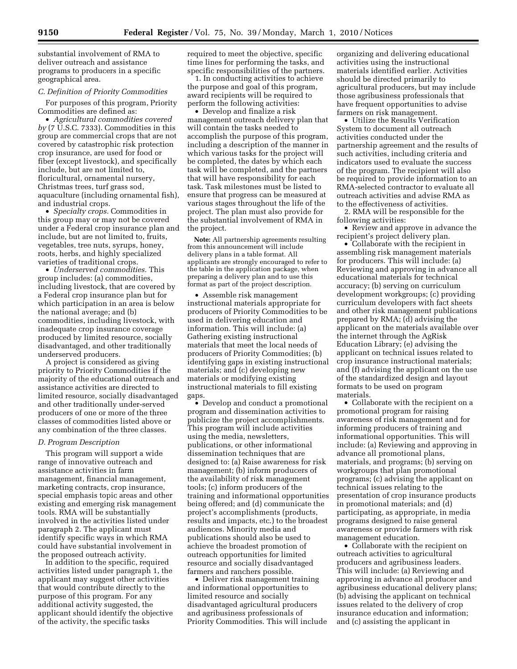substantial involvement of RMA to deliver outreach and assistance programs to producers in a specific geographical area.

#### *C. Definition of Priority Commodities*

For purposes of this program, Priority Commodities are defined as:

• *Agricultural commodities covered by* (7 U.S.C. 7333). Commodities in this group are commercial crops that are not covered by catastrophic risk protection crop insurance, are used for food or fiber (except livestock), and specifically include, but are not limited to, floricultural, ornamental nursery, Christmas trees, turf grass sod, aquaculture (including ornamental fish), and industrial crops.

• *Specialty crops.* Commodities in this group may or may not be covered under a Federal crop insurance plan and include, but are not limited to, fruits, vegetables, tree nuts, syrups, honey, roots, herbs, and highly specialized varieties of traditional crops.

• *Underserved commodities.* This group includes: (a) commodities, including livestock, that are covered by a Federal crop insurance plan but for which participation in an area is below the national average; and (b) commodities, including livestock, with inadequate crop insurance coverage produced by limited resource, socially disadvantaged, and other traditionally underserved producers.

A project is considered as giving priority to Priority Commodities if the majority of the educational outreach and assistance activities are directed to limited resource, socially disadvantaged and other traditionally under-served producers of one or more of the three classes of commodities listed above or any combination of the three classes.

#### *D. Program Description*

This program will support a wide range of innovative outreach and assistance activities in farm management, financial management, marketing contracts, crop insurance, special emphasis topic areas and other existing and emerging risk management tools. RMA will be substantially involved in the activities listed under paragraph 2. The applicant must identify specific ways in which RMA could have substantial involvement in the proposed outreach activity.

In addition to the specific, required activities listed under paragraph 1, the applicant may suggest other activities that would contribute directly to the purpose of this program. For any additional activity suggested, the applicant should identify the objective of the activity, the specific tasks

required to meet the objective, specific time lines for performing the tasks, and specific responsibilities of the partners.

1. In conducting activities to achieve the purpose and goal of this program, award recipients will be required to perform the following activities:

• Develop and finalize a risk management outreach delivery plan that will contain the tasks needed to accomplish the purpose of this program, including a description of the manner in which various tasks for the project will be completed, the dates by which each task will be completed, and the partners that will have responsibility for each task. Task milestones must be listed to ensure that progress can be measured at various stages throughout the life of the project. The plan must also provide for the substantial involvement of RMA in the project.

**Note:** All partnership agreements resulting from this announcement will include delivery plans in a table format. All applicants are strongly encouraged to refer to the table in the application package, when preparing a delivery plan and to use this format as part of the project description.

• Assemble risk management instructional materials appropriate for producers of Priority Commodities to be used in delivering education and information. This will include: (a) Gathering existing instructional materials that meet the local needs of producers of Priority Commodities; (b) identifying gaps in existing instructional materials; and (c) developing new materials or modifying existing instructional materials to fill existing gaps.

• Develop and conduct a promotional program and dissemination activities to publicize the project accomplishments. This program will include activities using the media, newsletters, publications, or other informational dissemination techniques that are designed to: (a) Raise awareness for risk management; (b) inform producers of the availability of risk management tools; (c) inform producers of the training and informational opportunities being offered; and (d) communicate the project's accomplishments (products, results and impacts, etc.) to the broadest audiences. Minority media and publications should also be used to achieve the broadest promotion of outreach opportunities for limited resource and socially disadvantaged farmers and ranchers possible.

• Deliver risk management training and informational opportunities to limited resource and socially disadvantaged agricultural producers and agribusiness professionals of Priority Commodities. This will include

organizing and delivering educational activities using the instructional materials identified earlier. Activities should be directed primarily to agricultural producers, but may include those agribusiness professionals that have frequent opportunities to advise farmers on risk management.

• Utilize the Results Verification System to document all outreach activities conducted under the partnership agreement and the results of such activities, including criteria and indicators used to evaluate the success of the program. The recipient will also be required to provide information to an RMA-selected contractor to evaluate all outreach activities and advise RMA as to the effectiveness of activities.

2. RMA will be responsible for the following activities:

• Review and approve in advance the recipient's project delivery plan.

• Collaborate with the recipient in assembling risk management materials for producers. This will include: (a) Reviewing and approving in advance all educational materials for technical accuracy; (b) serving on curriculum development workgroups; (c) providing curriculum developers with fact sheets and other risk management publications prepared by RMA; (d) advising the applicant on the materials available over the internet through the AgRisk Education Library; (e) advising the applicant on technical issues related to crop insurance instructional materials; and (f) advising the applicant on the use of the standardized design and layout formats to be used on program materials.

• Collaborate with the recipient on a promotional program for raising awareness of risk management and for informing producers of training and informational opportunities. This will include: (a) Reviewing and approving in advance all promotional plans, materials, and programs; (b) serving on workgroups that plan promotional programs; (c) advising the applicant on technical issues relating to the presentation of crop insurance products in promotional materials; and (d) participating, as appropriate, in media programs designed to raise general awareness or provide farmers with risk management education.

• Collaborate with the recipient on outreach activities to agricultural producers and agribusiness leaders. This will include: (a) Reviewing and approving in advance all producer and agribusiness educational delivery plans; (b) advising the applicant on technical issues related to the delivery of crop insurance education and information; and (c) assisting the applicant in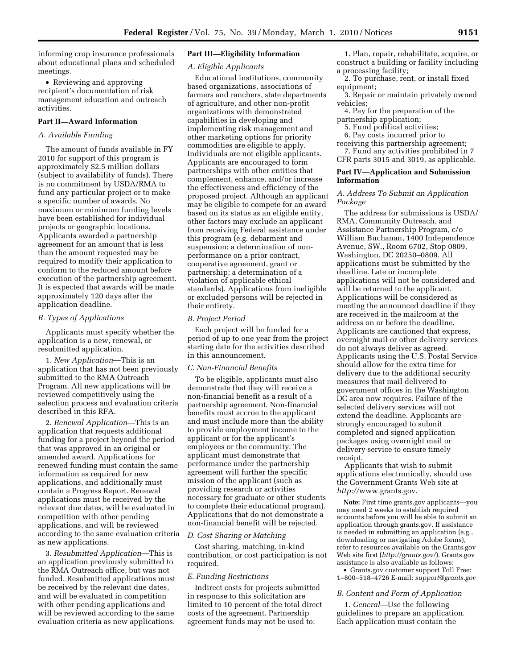informing crop insurance professionals about educational plans and scheduled meetings.

• Reviewing and approving recipient's documentation of risk management education and outreach activities.

## **Part II—Award Information**

# *A. Available Funding*

The amount of funds available in FY 2010 for support of this program is approximately \$2.5 million dollars (subject to availability of funds). There is no commitment by USDA/RMA to fund any particular project or to make a specific number of awards. No maximum or minimum funding levels have been established for individual projects or geographic locations. Applicants awarded a partnership agreement for an amount that is less than the amount requested may be required to modify their application to conform to the reduced amount before execution of the partnership agreement. It is expected that awards will be made approximately 120 days after the application deadline.

#### *B. Types of Applications*

Applicants must specify whether the application is a new, renewal, or resubmitted application.

1. *New Application*—This is an application that has not been previously submitted to the RMA Outreach Program. All new applications will be reviewed competitively using the selection process and evaluation criteria described in this RFA.

2. *Renewal Application*—This is an application that requests additional funding for a project beyond the period that was approved in an original or amended award. Applications for renewed funding must contain the same information as required for new applications, and additionally must contain a Progress Report. Renewal applications must be received by the relevant due dates, will be evaluated in competition with other pending applications, and will be reviewed according to the same evaluation criteria as new applications.

3. *Resubmitted Application*—This is an application previously submitted to the RMA Outreach office, but was not funded. Resubmitted applications must be received by the relevant due dates, and will be evaluated in competition with other pending applications and will be reviewed according to the same evaluation criteria as new applications.

# **Part III—Eligibility Information**

## *A. Eligible Applicants*

Educational institutions, community based organizations, associations of farmers and ranchers, state departments of agriculture, and other non-profit organizations with demonstrated capabilities in developing and implementing risk management and other marketing options for priority commodities are eligible to apply. Individuals are not eligible applicants. Applicants are encouraged to form partnerships with other entities that complement, enhance, and/or increase the effectiveness and efficiency of the proposed project. Although an applicant may be eligible to compete for an award based on its status as an eligible entity, other factors may exclude an applicant from receiving Federal assistance under this program (e.g. debarment and suspension; a determination of nonperformance on a prior contract, cooperative agreement, grant or partnership; a determination of a violation of applicable ethical standards). Applications from ineligible or excluded persons will be rejected in their entirety.

#### *B. Project Period*

Each project will be funded for a period of up to one year from the project starting date for the activities described in this announcement.

## *C. Non-Financial Benefits*

To be eligible, applicants must also demonstrate that they will receive a non-financial benefit as a result of a partnership agreement. Non-financial benefits must accrue to the applicant and must include more than the ability to provide employment income to the applicant or for the applicant's employees or the community. The applicant must demonstrate that performance under the partnership agreement will further the specific mission of the applicant (such as providing research or activities necessary for graduate or other students to complete their educational program). Applications that do not demonstrate a non-financial benefit will be rejected.

#### *D. Cost Sharing or Matching*

Cost sharing, matching, in-kind contribution, or cost participation is not required.

#### *E. Funding Restrictions*

Indirect costs for projects submitted in response to this solicitation are limited to 10 percent of the total direct costs of the agreement. Partnership agreement funds may not be used to:

1. Plan, repair, rehabilitate, acquire, or construct a building or facility including a processing facility;

2. To purchase, rent, or install fixed equipment;

- 3. Repair or maintain privately owned vehicles;
	- 4. Pay for the preparation of the

## partnership application;

- 5. Fund political activities;
- 6. Pay costs incurred prior to
- receiving this partnership agreement; 7. Fund any activities prohibited in 7
- CFR parts 3015 and 3019, as applicable.

# **Part IV—Application and Submission Information**

## *A. Address To Submit an Application Package*

The address for submissions is USDA/ RMA, Community Outreach, and Assistance Partnership Program, c/o William Buchanan, 1400 Independence Avenue, SW., Room 6702, Stop 0809, Washington, DC 20250–0809. All applications must be submitted by the deadline. Late or incomplete applications will not be considered and will be returned to the applicant. Applications will be considered as meeting the announced deadline if they are received in the mailroom at the address on or before the deadline. Applicants are cautioned that express, overnight mail or other delivery services do not always deliver as agreed. Applicants using the U.S. Postal Service should allow for the extra time for delivery due to the additional security measures that mail delivered to government offices in the Washington DC area now requires. Failure of the selected delivery services will not extend the deadline. Applicants are strongly encouraged to submit completed and signed application packages using overnight mail or delivery service to ensure timely receipt.

Applicants that wish to submit applications electronically, should use the Government Grants Web site at *http://*www.grants.gov.

**Note:** First time grants.gov applicants—you may need 2 weeks to establish required accounts before you will be able to submit an application through grants.gov. If assistance is needed in submitting an application (e.g., downloading or navigating Adobe forms), refer to resources available on the Grants.gov Web site first (*http://grants.gov/*). Grants.gov assistance is also available as follows:

• Grants.gov customer support Toll Free: 1–800–518–4726 E-mail: *support@grants.gov* 

# *B. Content and Form of Application*

1. *General*—Use the following guidelines to prepare an application. Each application must contain the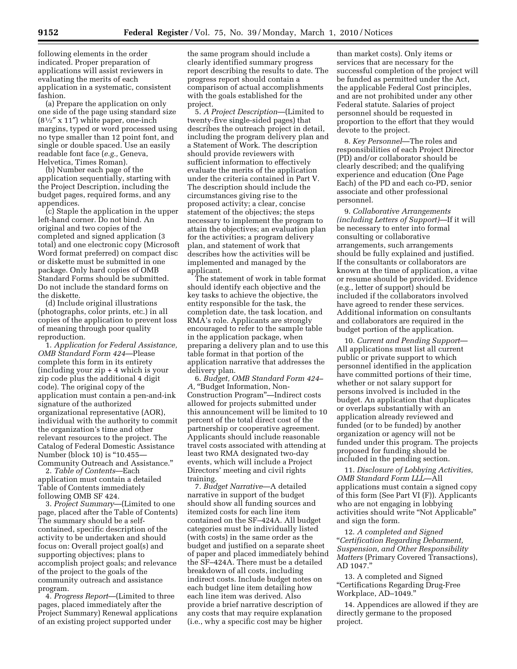following elements in the order indicated. Proper preparation of applications will assist reviewers in evaluating the merits of each application in a systematic, consistent fashion.

(a) Prepare the application on only one side of the page using standard size  $(8<sup>1</sup>/<sub>2</sub>''$  x 11") white paper, one-inch margins, typed or word processed using no type smaller than 12 point font, and single or double spaced. Use an easily readable font face (*e.g.,* Geneva, Helvetica, Times Roman).

(b) Number each page of the application sequentially, starting with the Project Description, including the budget pages, required forms, and any appendices.

(c) Staple the application in the upper left-hand corner. Do not bind. An original and two copies of the completed and signed application (3 total) and one electronic copy (Microsoft Word format preferred) on compact disc or diskette must be submitted in one package. Only hard copies of OMB Standard Forms should be submitted. Do not include the standard forms on the diskette.

(d) Include original illustrations (photographs, color prints, etc.) in all copies of the application to prevent loss of meaning through poor quality reproduction.

1. *Application for Federal Assistance, OMB Standard Form 424*—Please complete this form in its entirety (including your zip + 4 which is your zip code plus the additional 4 digit code). The original copy of the application must contain a pen-and-ink signature of the authorized organizational representative (AOR), individual with the authority to commit the organization's time and other relevant resources to the project. The Catalog of Federal Domestic Assistance Number (block 10) is "10.455-Community Outreach and Assistance.''

2. *Table of Contents*—Each application must contain a detailed Table of Contents immediately following OMB SF 424.

3. *Project Summary*—(Limited to one page, placed after the Table of Contents) The summary should be a selfcontained, specific description of the activity to be undertaken and should focus on: Overall project goal(s) and supporting objectives; plans to accomplish project goals; and relevance of the project to the goals of the community outreach and assistance program.

4. *Progress Report*—(Limited to three pages, placed immediately after the Project Summary) Renewal applications of an existing project supported under

the same program should include a clearly identified summary progress report describing the results to date. The progress report should contain a comparison of actual accomplishments with the goals established for the project.

5. *A Project Description*—(Limited to twenty-five single-sided pages) that describes the outreach project in detail, including the program delivery plan and a Statement of Work. The description should provide reviewers with sufficient information to effectively evaluate the merits of the application under the criteria contained in Part V. The description should include the circumstances giving rise to the proposed activity; a clear, concise statement of the objectives; the steps necessary to implement the program to attain the objectives; an evaluation plan for the activities; a program delivery plan, and statement of work that describes how the activities will be implemented and managed by the applicant.

The statement of work in table format should identify each objective and the key tasks to achieve the objective, the entity responsible for the task, the completion date, the task location, and RMA's role. Applicants are strongly encouraged to refer to the sample table in the application package, when preparing a delivery plan and to use this table format in that portion of the application narrative that addresses the delivery plan.

6. *Budget, OMB Standard Form 424–*  A, "Budget Information, Non-Construction Program''—Indirect costs allowed for projects submitted under this announcement will be limited to 10 percent of the total direct cost of the partnership or cooperative agreement. Applicants should include reasonable travel costs associated with attending at least two RMA designated two-day events, which will include a Project Directors' meeting and civil rights training.

7. *Budget Narrative*—A detailed narrative in support of the budget should show all funding sources and itemized costs for each line item contained on the SF–424A. All budget categories must be individually listed (with costs) in the same order as the budget and justified on a separate sheet of paper and placed immediately behind the SF–424A. There must be a detailed breakdown of all costs, including indirect costs. Include budget notes on each budget line item detailing how each line item was derived. Also provide a brief narrative description of any costs that may require explanation (i.e., why a specific cost may be higher

than market costs). Only items or services that are necessary for the successful completion of the project will be funded as permitted under the Act, the applicable Federal Cost principles, and are not prohibited under any other Federal statute. Salaries of project personnel should be requested in proportion to the effort that they would devote to the project.

8. *Key Personnel*—The roles and responsibilities of each Project Director (PD) and/or collaborator should be clearly described; and the qualifying experience and education (One Page Each) of the PD and each co-PD, senior associate and other professional personnel.

9. *Collaborative Arrangements (including Letters of Support)*—If it will be necessary to enter into formal consulting or collaborative arrangements, such arrangements should be fully explained and justified. If the consultants or collaborators are known at the time of application, a vitae or resume should be provided. Evidence (e.g., letter of support) should be included if the collaborators involved have agreed to render these services. Additional information on consultants and collaborators are required in the budget portion of the application.

10. *Current and Pending Support*— All applications must list all current public or private support to which personnel identified in the application have committed portions of their time, whether or not salary support for persons involved is included in the budget. An application that duplicates or overlaps substantially with an application already reviewed and funded (or to be funded) by another organization or agency will not be funded under this program. The projects proposed for funding should be included in the pending section.

11. *Disclosure of Lobbying Activities, OMB Standard Form LLL*—All applications must contain a signed copy of this form (See Part VI (F)). Applicants who are not engaging in lobbying activities should write ''Not Applicable'' and sign the form.

12. *A completed and Signed*  ''*Certification Regarding Debarment, Suspension, and Other Responsibility Matters* (Primary Covered Transactions), AD 1047.''

13. A completed and Signed ''Certifications Regarding Drug-Free Workplace, AD–1049.''

14. Appendices are allowed if they are directly germane to the proposed project.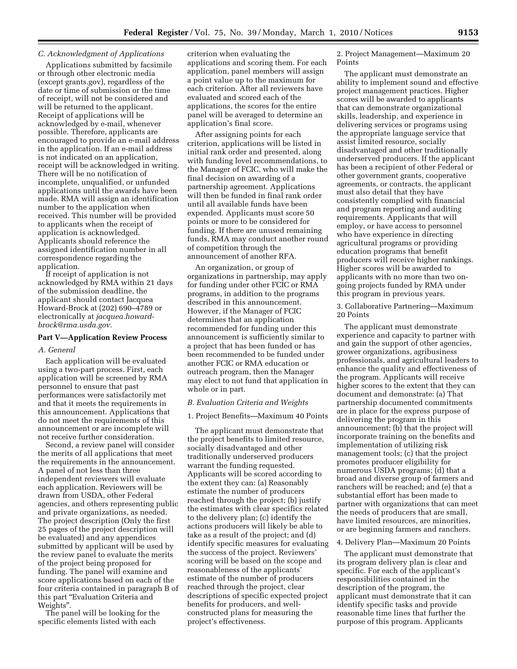# *C. Acknowledgment of Applications*

Applications submitted by facsimile or through other electronic media (except grants.gov), regardless of the date or time of submission or the time of receipt, will not be considered and will be returned to the applicant. Receipt of applications will be acknowledged by e-mail, whenever possible. Therefore, applicants are encouraged to provide an e-mail address in the application. If an e-mail address is not indicated on an application, receipt will be acknowledged in writing. There will be no notification of incomplete, unqualified, or unfunded applications until the awards have been made. RMA will assign an identification number to the application when received. This number will be provided to applicants when the receipt of application is acknowledged. Applicants should reference the assigned identification number in all correspondence regarding the application.

If receipt of application is not acknowledged by RMA within 21 days of the submission deadline, the applicant should contact Jacquea Howard-Brock at (202) 690–4789 or electronically at *jacquea.howardbrock@rma.usda.gov.* 

#### **Part V—Application Review Process**

#### *A. General*

Each application will be evaluated using a two-part process. First, each application will be screened by RMA personnel to ensure that past performances were satisfactorily met and that it meets the requirements in this announcement. Applications that do not meet the requirements of this announcement or are incomplete will not receive further consideration.

Second, a review panel will consider the merits of all applications that meet the requirements in the announcement. A panel of not less than three independent reviewers will evaluate each application. Reviewers will be drawn from USDA, other Federal agencies, and others representing public and private organizations, as needed. The project description (Only the first 25 pages of the project description will be evaluated) and any appendices submitted by applicant will be used by the review panel to evaluate the merits of the project being proposed for funding. The panel will examine and score applications based on each of the four criteria contained in paragraph B of this part ''Evaluation Criteria and Weights''.

The panel will be looking for the specific elements listed with each

criterion when evaluating the applications and scoring them. For each application, panel members will assign a point value up to the maximum for each criterion. After all reviewers have evaluated and scored each of the applications, the scores for the entire panel will be averaged to determine an application's final score.

After assigning points for each criterion, applications will be listed in initial rank order and presented, along with funding level recommendations, to the Manager of FCIC, who will make the final decision on awarding of a partnership agreement. Applications will then be funded in final rank order until all available funds have been expended. Applicants must score 50 points or more to be considered for funding. If there are unused remaining funds, RMA may conduct another round of competition through the announcement of another RFA.

An organization, or group of organizations in partnership, may apply for funding under other FCIC or RMA programs, in addition to the programs described in this announcement. However, if the Manager of FCIC determines that an application recommended for funding under this announcement is sufficiently similar to a project that has been funded or has been recommended to be funded under another FCIC or RMA education or outreach program, then the Manager may elect to not fund that application in whole or in part.

## *B. Evaluation Criteria and Weights*

#### 1. Project Benefits—Maximum 40 Points

The applicant must demonstrate that the project benefits to limited resource, socially disadvantaged and other traditionally underserved producers warrant the funding requested. Applicants will be scored according to the extent they can: (a) Reasonably estimate the number of producers reached through the project; (b) justify the estimates with clear specifics related to the delivery plan; (c) identify the actions producers will likely be able to take as a result of the project; and (d) identify specific measures for evaluating the success of the project. Reviewers' scoring will be based on the scope and reasonableness of the applicants' estimate of the number of producers reached through the project, clear descriptions of specific expected project benefits for producers, and wellconstructed plans for measuring the project's effectiveness.

2. Project Management—Maximum 20 Points

The applicant must demonstrate an ability to implement sound and effective project management practices. Higher scores will be awarded to applicants that can demonstrate organizational skills, leadership, and experience in delivering services or programs using the appropriate language service that assist limited resource, socially disadvantaged and other traditionally underserved producers. If the applicant has been a recipient of other Federal or other government grants, cooperative agreements, or contracts, the applicant must also detail that they have consistently complied with financial and program reporting and auditing requirements. Applicants that will employ, or have access to personnel who have experience in directing agricultural programs or providing education programs that benefit producers will receive higher rankings. Higher scores will be awarded to applicants with no more than two ongoing projects funded by RMA under this program in previous years.

3. Collaborative Partnering—Maximum 20 Points

The applicant must demonstrate experience and capacity to partner with and gain the support of other agencies, grower organizations, agribusiness professionals, and agricultural leaders to enhance the quality and effectiveness of the program. Applicants will receive higher scores to the extent that they can document and demonstrate: (a) That partnership documented commitments are in place for the express purpose of delivering the program in this announcement; (b) that the project will incorporate training on the benefits and implementation of utilizing risk management tools; (c) that the project promotes producer eligibility for numerous USDA programs; (d) that a broad and diverse group of farmers and ranchers will be reached; and (e) that a substantial effort has been made to partner with organizations that can meet the needs of producers that are small, have limited resources, are minorities, or are beginning farmers and ranchers.

# 4. Delivery Plan—Maximum 20 Points

The applicant must demonstrate that its program delivery plan is clear and specific. For each of the applicant's responsibilities contained in the description of the program, the applicant must demonstrate that it can identify specific tasks and provide reasonable time lines that further the purpose of this program. Applicants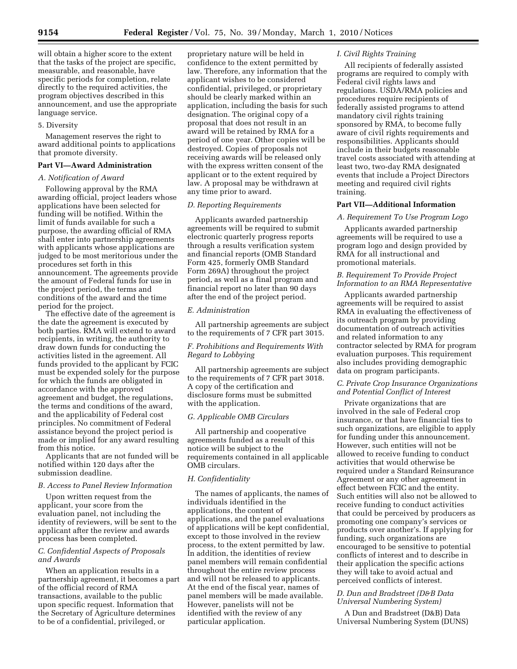## 5. Diversity

Management reserves the right to award additional points to applications that promote diversity.

## **Part VI—Award Administration**

### *A. Notification of Award*

Following approval by the RMA awarding official, project leaders whose applications have been selected for funding will be notified. Within the limit of funds available for such a purpose, the awarding official of RMA shall enter into partnership agreements with applicants whose applications are judged to be most meritorious under the procedures set forth in this announcement. The agreements provide the amount of Federal funds for use in the project period, the terms and conditions of the award and the time period for the project.

The effective date of the agreement is the date the agreement is executed by both parties. RMA will extend to award recipients, in writing, the authority to draw down funds for conducting the activities listed in the agreement. All funds provided to the applicant by FCIC must be expended solely for the purpose for which the funds are obligated in accordance with the approved agreement and budget, the regulations, the terms and conditions of the award, and the applicability of Federal cost principles. No commitment of Federal assistance beyond the project period is made or implied for any award resulting from this notice.

Applicants that are not funded will be notified within 120 days after the submission deadline.

## *B. Access to Panel Review Information*

Upon written request from the applicant, your score from the evaluation panel, not including the identity of reviewers, will be sent to the applicant after the review and awards process has been completed.

# *C. Confidential Aspects of Proposals and Awards*

When an application results in a partnership agreement, it becomes a part of the official record of RMA transactions, available to the public upon specific request. Information that the Secretary of Agriculture determines to be of a confidential, privileged, or

proprietary nature will be held in confidence to the extent permitted by law. Therefore, any information that the applicant wishes to be considered confidential, privileged, or proprietary should be clearly marked within an application, including the basis for such designation. The original copy of a proposal that does not result in an award will be retained by RMA for a period of one year. Other copies will be destroyed. Copies of proposals not receiving awards will be released only with the express written consent of the applicant or to the extent required by law. A proposal may be withdrawn at any time prior to award.

# *D. Reporting Requirements*

Applicants awarded partnership agreements will be required to submit electronic quarterly progress reports through a results verification system and financial reports (OMB Standard Form 425, formerly OMB Standard Form 269A) throughout the project period, as well as a final program and financial report no later than 90 days after the end of the project period.

## *E. Administration*

All partnership agreements are subject to the requirements of 7 CFR part 3015.

# *F. Prohibitions and Requirements With Regard to Lobbying*

All partnership agreements are subject to the requirements of 7 CFR part 3018. A copy of the certification and disclosure forms must be submitted with the application.

# *G. Applicable OMB Circulars*

All partnership and cooperative agreements funded as a result of this notice will be subject to the requirements contained in all applicable OMB circulars.

# *H. Confidentiality*

The names of applicants, the names of individuals identified in the applications, the content of applications, and the panel evaluations of applications will be kept confidential, except to those involved in the review process, to the extent permitted by law. In addition, the identities of review panel members will remain confidential throughout the entire review process and will not be released to applicants. At the end of the fiscal year, names of panel members will be made available. However, panelists will not be identified with the review of any particular application.

## *I. Civil Rights Training*

All recipients of federally assisted programs are required to comply with Federal civil rights laws and regulations. USDA/RMA policies and procedures require recipients of federally assisted programs to attend mandatory civil rights training sponsored by RMA, to become fully aware of civil rights requirements and responsibilities. Applicants should include in their budgets reasonable travel costs associated with attending at least two, two-day RMA designated events that include a Project Directors meeting and required civil rights training.

### **Part VII—Additional Information**

## *A. Requirement To Use Program Logo*

Applicants awarded partnership agreements will be required to use a program logo and design provided by RMA for all instructional and promotional materials.

# *B. Requirement To Provide Project Information to an RMA Representative*

Applicants awarded partnership agreements will be required to assist RMA in evaluating the effectiveness of its outreach program by providing documentation of outreach activities and related information to any contractor selected by RMA for program evaluation purposes. This requirement also includes providing demographic data on program participants.

## *C. Private Crop Insurance Organizations and Potential Conflict of Interest*

Private organizations that are involved in the sale of Federal crop insurance, or that have financial ties to such organizations, are eligible to apply for funding under this announcement. However, such entities will not be allowed to receive funding to conduct activities that would otherwise be required under a Standard Reinsurance Agreement or any other agreement in effect between FCIC and the entity. Such entities will also not be allowed to receive funding to conduct activities that could be perceived by producers as promoting one company's services or products over another's. If applying for funding, such organizations are encouraged to be sensitive to potential conflicts of interest and to describe in their application the specific actions they will take to avoid actual and perceived conflicts of interest.

# *D. Dun and Bradstreet (D&B Data Universal Numbering System)*

A Dun and Bradstreet (D&B) Data Universal Numbering System (DUNS)